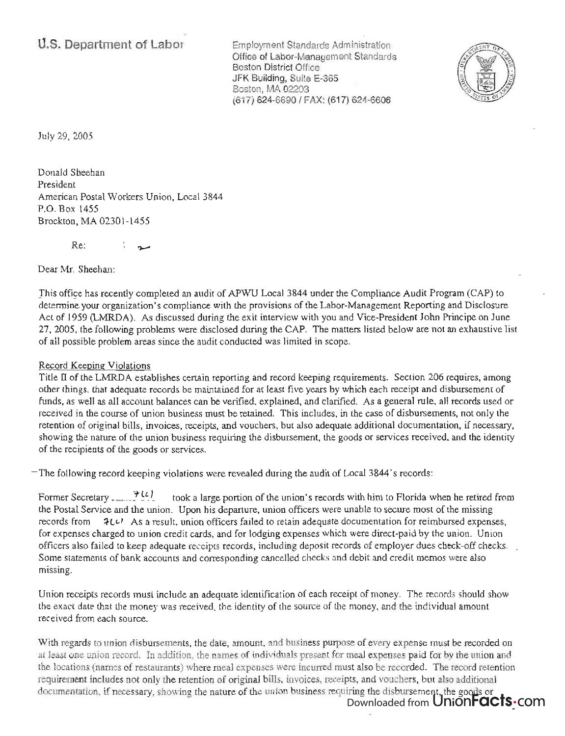Employment Standards Administration Office of Labor-Management Standards Boston District Office JFK Building, Suite E-365 Boston, MA 02203 (617) 624-6690/ FAX: (617) 624-6606



July 29, 2005

Donald Sheehan President American Postal Workers Union, Local 3844 P.O. Box 1455 Brockton, MA 02301-1455

Re:

Dear Mr. Sheehan:

This office has recently completed an audit of APWU Local 3844 under the Compliance Audit Program (CAP) to determine your organization's compliance with the provisions of the Labor-Management Reporting and Disclosure Act of 1959 (LMRDA). As discussed during the exit interview with you and Vice-President John Principe on June 27, 2005, the following problems were disclosed during the CAP. The matters listed below are not an exhaustive list of all possible problem areas since the audit conducted was limited in scope.

## Record Keeping Violations

Title II of the LMRDA establishes certain reporting and record keeping requirements. Section 206 requires, among other things, that adequate records be maintained for at least five years by which each receipt and disbursement of funds, as well as all account balances can be verified, explained, and clarified. As a general rule, all records used or . received in the course of union business must be retained. This includes, in the case of disbursements, not only the retention of original bills, invoices, receipts, and vouchers, but also adequate additional documentation, if necessary, showing the nature of the union business requiring the disbursement, the goods or services received, and the identity of the recipients of the goods or services.

The following record keeping violations were revealed during the audit of Local 3844's records:

Former Secretary . .......<sup>7</sup><sup>1</sup> the Postal Service and the union. Upon his departure, union officers were unable to secure most of the missing records from  $\partial L \psi$ . As a result, union officers failed to retain adequate documentation for reimbursed expenses, for expenses charged to union credit cards, and for lodging expenses which were direct-paid by the union. Union officers also failed to keep adequate receipts records, including deposit records of employer dues check-off checks. Some statements of bank accounts and corresponding cancelled checks and debit and credit memos were also missing.

Union receipts records must include an adequate identification of each receipt of money. The records should show the exact date that the money was received, the identity of the source of the money, and the individual amount received from each source.

With regards to union disbursements, the date, amount, and business purpose of every expense must be recorded on at least one union record. In addition, the names of individuals present for meal expenses paid for by the union and the locations (names of restaurants) where meal expenses were incurred must also be recorded. The record retention requirement includes not only the retention of original bills, invoices, receipts, and vouchers, but also additional documentation, if necessary, showing the nature of the union business requiring the disbursement, the goods or

Downloaded from